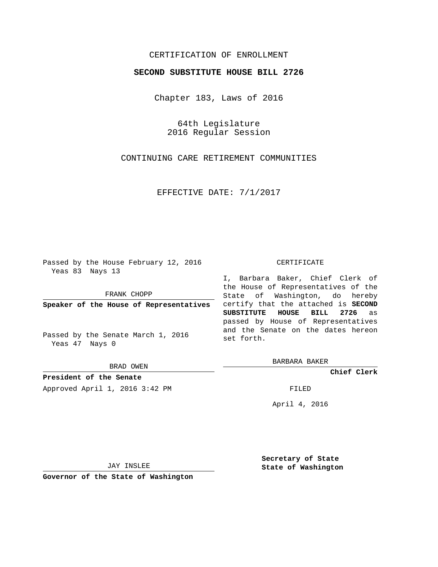## CERTIFICATION OF ENROLLMENT

## **SECOND SUBSTITUTE HOUSE BILL 2726**

Chapter 183, Laws of 2016

64th Legislature 2016 Regular Session

CONTINUING CARE RETIREMENT COMMUNITIES

EFFECTIVE DATE: 7/1/2017

Passed by the House February 12, 2016 Yeas 83 Nays 13

FRANK CHOPP

**Speaker of the House of Representatives**

Passed by the Senate March 1, 2016 Yeas 47 Nays 0

BRAD OWEN

**President of the Senate**

Approved April 1, 2016 3:42 PM FILED

## CERTIFICATE

I, Barbara Baker, Chief Clerk of the House of Representatives of the State of Washington, do hereby certify that the attached is **SECOND SUBSTITUTE HOUSE BILL 2726** as passed by House of Representatives and the Senate on the dates hereon set forth.

BARBARA BAKER

**Chief Clerk**

April 4, 2016

JAY INSLEE

**Governor of the State of Washington**

**Secretary of State State of Washington**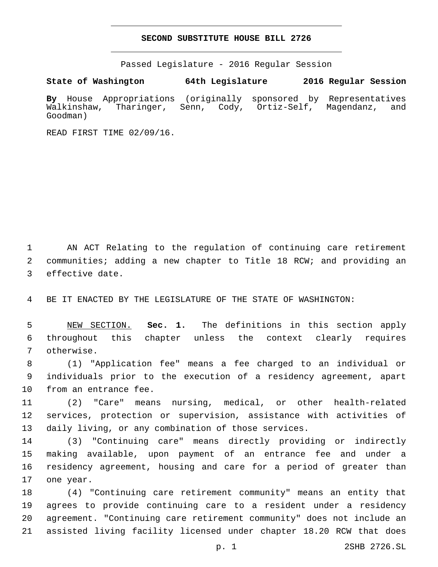## **SECOND SUBSTITUTE HOUSE BILL 2726**

Passed Legislature - 2016 Regular Session

**State of Washington 64th Legislature 2016 Regular Session**

**By** House Appropriations (originally sponsored by Representatives Walkinshaw, Tharinger, Senn, Cody, Ortiz-Self, Magendanz, and Goodman)

READ FIRST TIME 02/09/16.

 AN ACT Relating to the regulation of continuing care retirement communities; adding a new chapter to Title 18 RCW; and providing an 3 effective date.

BE IT ENACTED BY THE LEGISLATURE OF THE STATE OF WASHINGTON:

 NEW SECTION. **Sec. 1.** The definitions in this section apply throughout this chapter unless the context clearly requires otherwise.

 (1) "Application fee" means a fee charged to an individual or individuals prior to the execution of a residency agreement, apart 10 from an entrance fee.

 (2) "Care" means nursing, medical, or other health-related services, protection or supervision, assistance with activities of daily living, or any combination of those services.

 (3) "Continuing care" means directly providing or indirectly making available, upon payment of an entrance fee and under a residency agreement, housing and care for a period of greater than 17 one year.

 (4) "Continuing care retirement community" means an entity that agrees to provide continuing care to a resident under a residency agreement. "Continuing care retirement community" does not include an assisted living facility licensed under chapter 18.20 RCW that does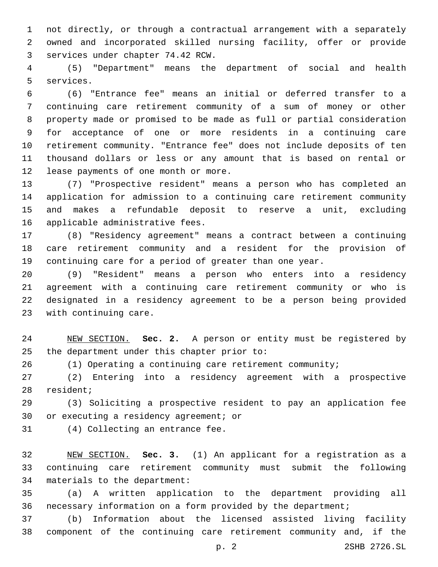not directly, or through a contractual arrangement with a separately owned and incorporated skilled nursing facility, offer or provide services under chapter 74.42 RCW.3

 (5) "Department" means the department of social and health 5 services.

 (6) "Entrance fee" means an initial or deferred transfer to a continuing care retirement community of a sum of money or other property made or promised to be made as full or partial consideration for acceptance of one or more residents in a continuing care retirement community. "Entrance fee" does not include deposits of ten thousand dollars or less or any amount that is based on rental or 12 lease payments of one month or more.

 (7) "Prospective resident" means a person who has completed an application for admission to a continuing care retirement community and makes a refundable deposit to reserve a unit, excluding 16 applicable administrative fees.

 (8) "Residency agreement" means a contract between a continuing care retirement community and a resident for the provision of continuing care for a period of greater than one year.

 (9) "Resident" means a person who enters into a residency agreement with a continuing care retirement community or who is designated in a residency agreement to be a person being provided 23 with continuing care.

 NEW SECTION. **Sec. 2.** A person or entity must be registered by the department under this chapter prior to:

(1) Operating a continuing care retirement community;

 (2) Entering into a residency agreement with a prospective 28 resident;

 (3) Soliciting a prospective resident to pay an application fee 30 or executing a residency agreement; or

31 (4) Collecting an entrance fee.

 NEW SECTION. **Sec. 3.** (1) An applicant for a registration as a continuing care retirement community must submit the following materials to the department:

 (a) A written application to the department providing all necessary information on a form provided by the department;

 (b) Information about the licensed assisted living facility component of the continuing care retirement community and, if the

p. 2 2SHB 2726.SL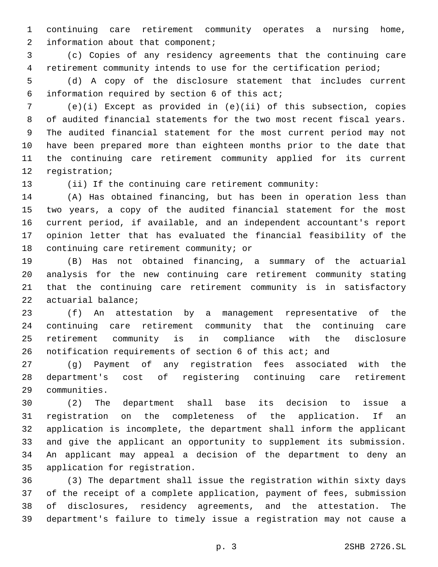continuing care retirement community operates a nursing home, 2 information about that component;

 (c) Copies of any residency agreements that the continuing care retirement community intends to use for the certification period;

 (d) A copy of the disclosure statement that includes current 6 information required by section of this act;

 (e)(i) Except as provided in (e)(ii) of this subsection, copies of audited financial statements for the two most recent fiscal years. The audited financial statement for the most current period may not have been prepared more than eighteen months prior to the date that the continuing care retirement community applied for its current 12 registration;

(ii) If the continuing care retirement community:

 (A) Has obtained financing, but has been in operation less than two years, a copy of the audited financial statement for the most current period, if available, and an independent accountant's report opinion letter that has evaluated the financial feasibility of the 18 continuing care retirement community; or

 (B) Has not obtained financing, a summary of the actuarial analysis for the new continuing care retirement community stating that the continuing care retirement community is in satisfactory 22 actuarial balance;

 (f) An attestation by a management representative of the continuing care retirement community that the continuing care retirement community is in compliance with the disclosure notification requirements of section 6 of this act; and

 (g) Payment of any registration fees associated with the department's cost of registering continuing care retirement communities.29

 (2) The department shall base its decision to issue a registration on the completeness of the application. If an application is incomplete, the department shall inform the applicant and give the applicant an opportunity to supplement its submission. An applicant may appeal a decision of the department to deny an 35 application for registration.

 (3) The department shall issue the registration within sixty days of the receipt of a complete application, payment of fees, submission of disclosures, residency agreements, and the attestation. The department's failure to timely issue a registration may not cause a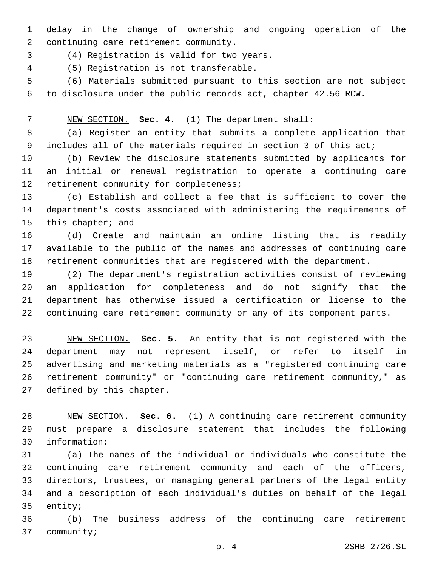delay in the change of ownership and ongoing operation of the 2 continuing care retirement community.

(4) Registration is valid for two years.3

(5) Registration is not transferable.4

 (6) Materials submitted pursuant to this section are not subject to disclosure under the public records act, chapter 42.56 RCW.

NEW SECTION. **Sec. 4.** (1) The department shall:

 (a) Register an entity that submits a complete application that 9 includes all of the materials required in section 3 of this act;

 (b) Review the disclosure statements submitted by applicants for an initial or renewal registration to operate a continuing care 12 retirement community for completeness;

 (c) Establish and collect a fee that is sufficient to cover the department's costs associated with administering the requirements of 15 this chapter; and

 (d) Create and maintain an online listing that is readily available to the public of the names and addresses of continuing care retirement communities that are registered with the department.

 (2) The department's registration activities consist of reviewing an application for completeness and do not signify that the department has otherwise issued a certification or license to the continuing care retirement community or any of its component parts.

 NEW SECTION. **Sec. 5.** An entity that is not registered with the department may not represent itself, or refer to itself in advertising and marketing materials as a "registered continuing care retirement community" or "continuing care retirement community," as defined by this chapter.

 NEW SECTION. **Sec. 6.** (1) A continuing care retirement community must prepare a disclosure statement that includes the following information:

 (a) The names of the individual or individuals who constitute the continuing care retirement community and each of the officers, directors, trustees, or managing general partners of the legal entity and a description of each individual's duties on behalf of the legal 35 entity;

 (b) The business address of the continuing care retirement 37 community;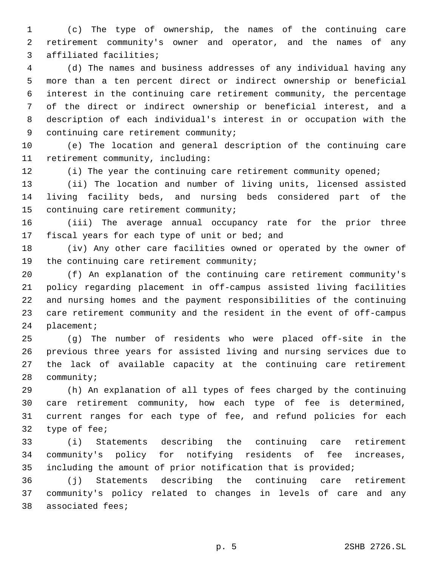(c) The type of ownership, the names of the continuing care retirement community's owner and operator, and the names of any 3 affiliated facilities;

 (d) The names and business addresses of any individual having any more than a ten percent direct or indirect ownership or beneficial interest in the continuing care retirement community, the percentage of the direct or indirect ownership or beneficial interest, and a description of each individual's interest in or occupation with the 9 continuing care retirement community;

 (e) The location and general description of the continuing care 11 retirement community, including:

12 (i) The year the continuing care retirement community opened;

 (ii) The location and number of living units, licensed assisted living facility beds, and nursing beds considered part of the 15 continuing care retirement community;

 (iii) The average annual occupancy rate for the prior three 17 fiscal years for each type of unit or bed; and

 (iv) Any other care facilities owned or operated by the owner of 19 the continuing care retirement community;

 (f) An explanation of the continuing care retirement community's policy regarding placement in off-campus assisted living facilities and nursing homes and the payment responsibilities of the continuing care retirement community and the resident in the event of off-campus 24 placement;

 (g) The number of residents who were placed off-site in the previous three years for assisted living and nursing services due to the lack of available capacity at the continuing care retirement 28 community;

 (h) An explanation of all types of fees charged by the continuing care retirement community, how each type of fee is determined, current ranges for each type of fee, and refund policies for each 32 type of fee;

 (i) Statements describing the continuing care retirement community's policy for notifying residents of fee increases, including the amount of prior notification that is provided;

 (j) Statements describing the continuing care retirement community's policy related to changes in levels of care and any 38 associated fees;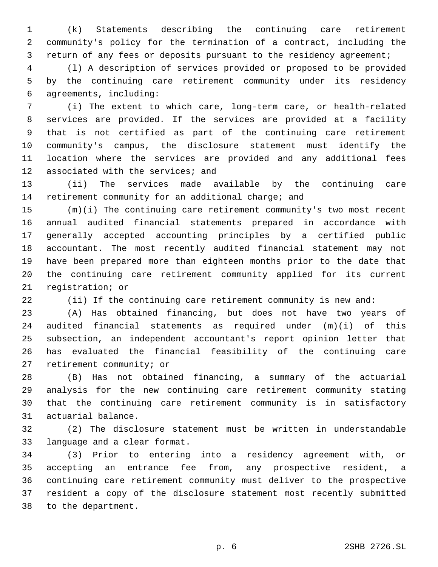(k) Statements describing the continuing care retirement community's policy for the termination of a contract, including the return of any fees or deposits pursuant to the residency agreement;

 (l) A description of services provided or proposed to be provided by the continuing care retirement community under its residency agreements, including:6

 (i) The extent to which care, long-term care, or health-related services are provided. If the services are provided at a facility that is not certified as part of the continuing care retirement community's campus, the disclosure statement must identify the location where the services are provided and any additional fees 12 associated with the services; and

 (ii) The services made available by the continuing care retirement community for an additional charge; and

 (m)(i) The continuing care retirement community's two most recent annual audited financial statements prepared in accordance with generally accepted accounting principles by a certified public accountant. The most recently audited financial statement may not have been prepared more than eighteen months prior to the date that the continuing care retirement community applied for its current 21 registration; or

(ii) If the continuing care retirement community is new and:

 (A) Has obtained financing, but does not have two years of audited financial statements as required under (m)(i) of this subsection, an independent accountant's report opinion letter that has evaluated the financial feasibility of the continuing care 27 retirement community; or

 (B) Has not obtained financing, a summary of the actuarial analysis for the new continuing care retirement community stating that the continuing care retirement community is in satisfactory 31 actuarial balance.

 (2) The disclosure statement must be written in understandable 33 language and a clear format.

 (3) Prior to entering into a residency agreement with, or accepting an entrance fee from, any prospective resident, a continuing care retirement community must deliver to the prospective resident a copy of the disclosure statement most recently submitted 38 to the department.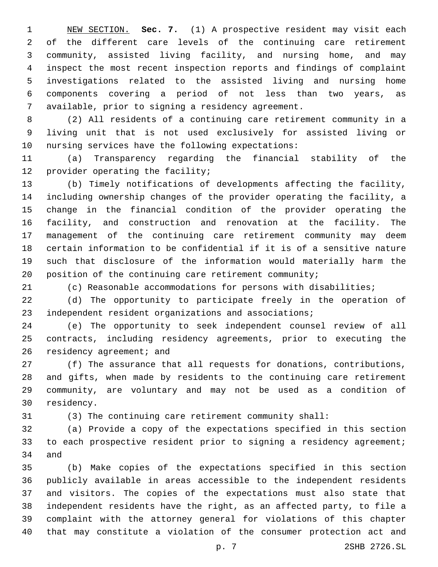NEW SECTION. **Sec. 7.** (1) A prospective resident may visit each of the different care levels of the continuing care retirement community, assisted living facility, and nursing home, and may inspect the most recent inspection reports and findings of complaint investigations related to the assisted living and nursing home components covering a period of not less than two years, as available, prior to signing a residency agreement.

 (2) All residents of a continuing care retirement community in a living unit that is not used exclusively for assisted living or 10 nursing services have the following expectations:

 (a) Transparency regarding the financial stability of the 12 provider operating the facility;

 (b) Timely notifications of developments affecting the facility, including ownership changes of the provider operating the facility, a change in the financial condition of the provider operating the facility, and construction and renovation at the facility. The management of the continuing care retirement community may deem certain information to be confidential if it is of a sensitive nature such that disclosure of the information would materially harm the 20 position of the continuing care retirement community;

(c) Reasonable accommodations for persons with disabilities;

 (d) The opportunity to participate freely in the operation of independent resident organizations and associations;

 (e) The opportunity to seek independent counsel review of all contracts, including residency agreements, prior to executing the 26 residency agreement; and

 (f) The assurance that all requests for donations, contributions, and gifts, when made by residents to the continuing care retirement community, are voluntary and may not be used as a condition of 30 residency.

(3) The continuing care retirement community shall:

 (a) Provide a copy of the expectations specified in this section 33 to each prospective resident prior to signing a residency agreement; 34 and

 (b) Make copies of the expectations specified in this section publicly available in areas accessible to the independent residents and visitors. The copies of the expectations must also state that independent residents have the right, as an affected party, to file a complaint with the attorney general for violations of this chapter that may constitute a violation of the consumer protection act and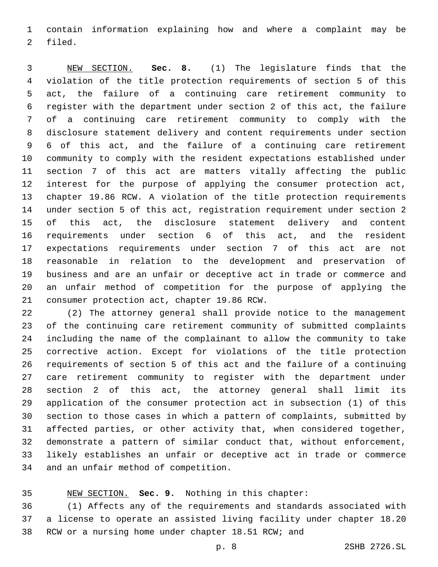contain information explaining how and where a complaint may be 2 filed.

 NEW SECTION. **Sec. 8.** (1) The legislature finds that the violation of the title protection requirements of section 5 of this act, the failure of a continuing care retirement community to register with the department under section 2 of this act, the failure of a continuing care retirement community to comply with the disclosure statement delivery and content requirements under section 6 of this act, and the failure of a continuing care retirement community to comply with the resident expectations established under section 7 of this act are matters vitally affecting the public interest for the purpose of applying the consumer protection act, chapter 19.86 RCW. A violation of the title protection requirements under section 5 of this act, registration requirement under section 2 of this act, the disclosure statement delivery and content requirements under section 6 of this act, and the resident expectations requirements under section 7 of this act are not reasonable in relation to the development and preservation of business and are an unfair or deceptive act in trade or commerce and an unfair method of competition for the purpose of applying the consumer protection act, chapter 19.86 RCW.

 (2) The attorney general shall provide notice to the management of the continuing care retirement community of submitted complaints including the name of the complainant to allow the community to take corrective action. Except for violations of the title protection requirements of section 5 of this act and the failure of a continuing care retirement community to register with the department under section 2 of this act, the attorney general shall limit its application of the consumer protection act in subsection (1) of this section to those cases in which a pattern of complaints, submitted by affected parties, or other activity that, when considered together, demonstrate a pattern of similar conduct that, without enforcement, likely establishes an unfair or deceptive act in trade or commerce 34 and an unfair method of competition.

NEW SECTION. **Sec. 9.** Nothing in this chapter:

 (1) Affects any of the requirements and standards associated with a license to operate an assisted living facility under chapter 18.20 RCW or a nursing home under chapter 18.51 RCW; and